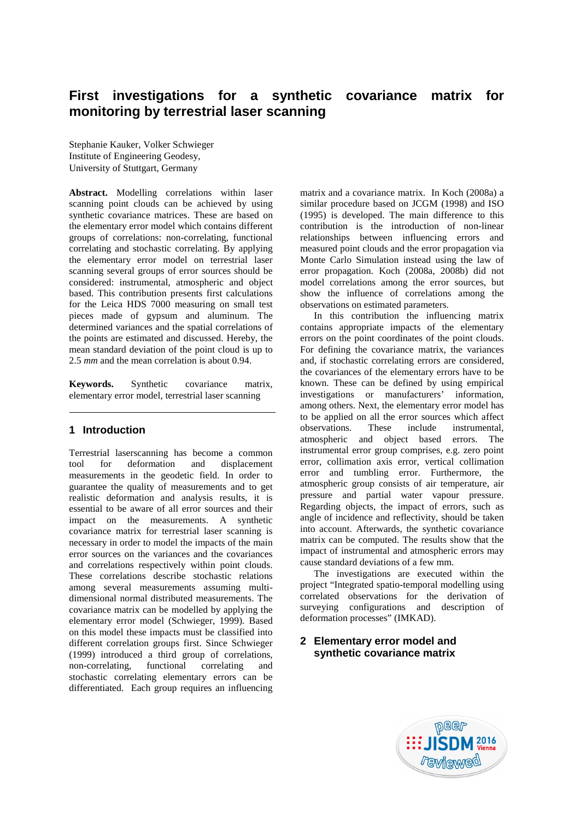# **First investigations for a synthetic covariance matrix for monitoring by terrestrial laser scanning**

Stephanie Kauker, Volker Schwieger Institute of Engineering Geodesy, University of Stuttgart, Germany

**Abstract.** Modelling correlations within laser scanning point clouds can be achieved by using synthetic covariance matrices. These are based on the elementary error model which contains different groups of correlations: non-correlating, functional correlating and stochastic correlating. By applying the elementary error model on terrestrial laser scanning several groups of error sources should be considered: instrumental, atmospheric and object based. This contribution presents first calculations for the Leica HDS 7000 measuring on small test pieces made of gypsum and aluminum. The determined variances and the spatial correlations of the points are estimated and discussed. Hereby, the mean standard deviation of the point cloud is up to 2.5 *mm* and the mean correlation is about 0.94.

**Keywords.** Synthetic covariance matrix, elementary error model, terrestrial laser scanning

# **1 Introduction**

Terrestrial laserscanning has become a common tool for deformation and displacement measurements in the geodetic field. In order to guarantee the quality of measurements and to get realistic deformation and analysis results, it is essential to be aware of all error sources and their impact on the measurements. A synthetic covariance matrix for terrestrial laser scanning is necessary in order to model the impacts of the main error sources on the variances and the covariances and correlations respectively within point clouds. These correlations describe stochastic relations among several measurements assuming multidimensional normal distributed measurements. The covariance matrix can be modelled by applying the elementary error model (Schwieger, 1999). Based on this model these impacts must be classified into different correlation groups first. Since Schwieger (1999) introduced a third group of correlations, non-correlating, functional correlating and stochastic correlating elementary errors can be differentiated. Each group requires an influencing

matrix and a covariance matrix. In Koch (2008a) a similar procedure based on JCGM (1998) and ISO (1995) is developed. The main difference to this contribution is the introduction of non-linear relationships between influencing errors and measured point clouds and the error propagation via Monte Carlo Simulation instead using the law of error propagation. Koch (2008a, 2008b) did not model correlations among the error sources, but show the influence of correlations among the observations on estimated parameters.

In this contribution the influencing matrix contains appropriate impacts of the elementary errors on the point coordinates of the point clouds. For defining the covariance matrix, the variances and, if stochastic correlating errors are considered, the covariances of the elementary errors have to be known. These can be defined by using empirical investigations or manufacturers' information, among others. Next, the elementary error model has to be applied on all the error sources which affect<br>observations. These include instrumental observations. These include instrumental, atmospheric and object based errors. The instrumental error group comprises, e.g. zero point error, collimation axis error, vertical collimation error and tumbling error. Furthermore, the atmospheric group consists of air temperature, air pressure and partial water vapour pressure. Regarding objects, the impact of errors, such as angle of incidence and reflectivity, should be taken into account. Afterwards, the synthetic covariance matrix can be computed. The results show that the impact of instrumental and atmospheric errors may cause standard deviations of a few mm.

The investigations are executed within the project "Integrated spatio-temporal modelling using correlated observations for the derivation of surveying configurations and description of deformation processes" (IMKAD).

# **2 Elementary error model and synthetic covariance matrix**

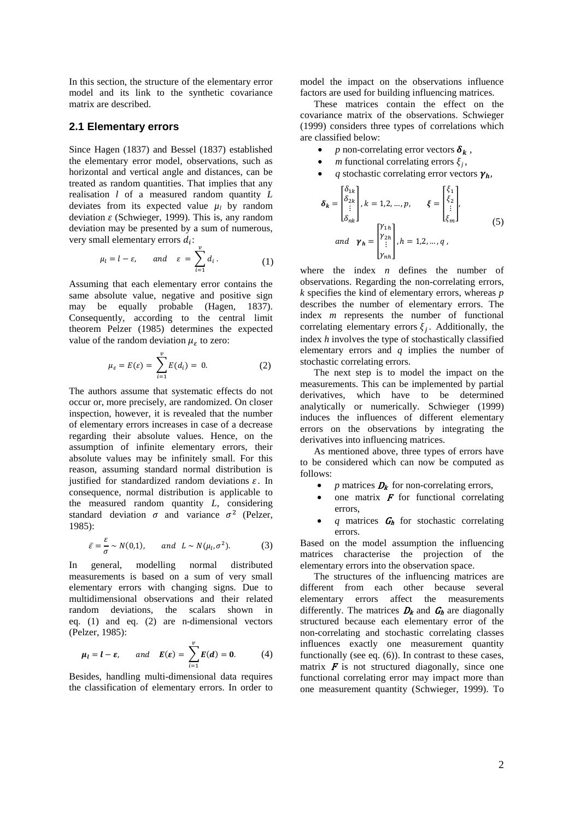In this section, the structure of the elementary error model and its link to the synthetic covariance matrix are described.

#### **2.1 Elementary errors**

Since Hagen (1837) and Bessel (1837) established the elementary error model, observations, such as horizontal and vertical angle and distances, can be treated as random quantities. That implies that any realisation *l* of a measured random quantity *L* deviates from its expected value  $\mu_l$  by random deviation  $\varepsilon$  (Schwieger, 1999). This is, any random deviation may be presented by a sum of numerous, very small elementary errors  $d_i$ :

$$
\mu_l = l - \varepsilon
$$
, and  $\varepsilon = \sum_{i=1}^{\nu} d_i$ . (1)

Assuming that each elementary error contains the same absolute value, negative and positive sign may be equally probable (Hagen, 1837). Consequently, according to the central limit theorem Pelzer (1985) determines the expected value of the random deviation  $\mu<sub>\varepsilon</sub>$  to zero:

$$
\mu_{\varepsilon} = E(\varepsilon) = \sum_{i=1}^{v} E(d_i) = 0.
$$
 (2)

The authors assume that systematic effects do not occur or, more precisely, are randomized. On closer inspection, however, it is revealed that the number of elementary errors increases in case of a decrease regarding their absolute values. Hence, on the assumption of infinite elementary errors, their absolute values may be infinitely small. For this reason, assuming standard normal distribution is justified for standardized random deviations  $\varepsilon$ . In consequence, normal distribution is applicable to the measured random quantity *L*, considering standard deviation  $\sigma$  and variance  $\sigma^2$  (Pelzer, 1985):

$$
\bar{\varepsilon} = \frac{\varepsilon}{\sigma} \sim N(0,1), \quad \text{and} \quad L \sim N(\mu_1, \sigma^2). \tag{3}
$$

In general, modelling normal distributed measurements is based on a sum of very small elementary errors with changing signs. Due to multidimensional observations and their related random deviations, the scalars shown in eq. (1) and eq. (2) are n-dimensional vectors (Pelzer, 1985):

$$
\mu_l = l - \varepsilon
$$
, and  $E(\varepsilon) = \sum_{i=1}^{\nu} E(d) = 0.$  (4)

Besides, handling multi-dimensional data requires the classification of elementary errors. In order to model the impact on the observations influence factors are used for building influencing matrices.

These matrices contain the effect on the covariance matrix of the observations. Schwieger (1999) considers three types of correlations which are classified below:

- *p* non-correlating error vectors  $\delta_k$ ,
- *m* functional correlating errors  $\xi_j$ ,
- *q* stochastic correlating error vectors  $\gamma_h$ ,

$$
\delta_{k} = \begin{bmatrix} \delta_{1k} \\ \delta_{2k} \\ \vdots \\ \delta_{nk} \end{bmatrix}, k = 1, 2, ..., p, \qquad \xi = \begin{bmatrix} \xi_{1} \\ \xi_{2} \\ \vdots \\ \xi_{m} \end{bmatrix},
$$
  
and 
$$
\gamma_{h} = \begin{bmatrix} Y_{1h} \\ Y_{2h} \\ \vdots \\ Y_{nh} \end{bmatrix}, h = 1, 2, ..., q,
$$
 (5)

where the index *n* defines the number of observations. Regarding the non-correlating errors, *k* specifies the kind of elementary errors, whereas *p*  describes the number of elementary errors. The index *m* represents the number of functional correlating elementary errors  $\xi_i$ . Additionally, the index *h* involves the type of stochastically classified elementary errors and *q* implies the number of stochastic correlating errors.

The next step is to model the impact on the measurements. This can be implemented by partial derivatives, which have to be determined analytically or numerically. Schwieger (1999) induces the influences of different elementary errors on the observations by integrating the derivatives into influencing matrices.

As mentioned above, three types of errors have to be considered which can now be computed as follows:

- *p* matrices  $D_k$  for non-correlating errors,
- one matrix  $\boldsymbol{F}$  for functional correlating errors,
- $q$  matrices  $G_h$  for stochastic correlating errors.

Based on the model assumption the influencing matrices characterise the projection of the elementary errors into the observation space.

The structures of the influencing matrices are different from each other because several elementary errors affect the measurements differently. The matrices  $D_k$  and  $G_h$  are diagonally structured because each elementary error of the non-correlating and stochastic correlating classes influences exactly one measurement quantity functionally (see eq. (6)). In contrast to these cases, matrix  $\boldsymbol{F}$  is not structured diagonally, since one functional correlating error may impact more than one measurement quantity (Schwieger, 1999). To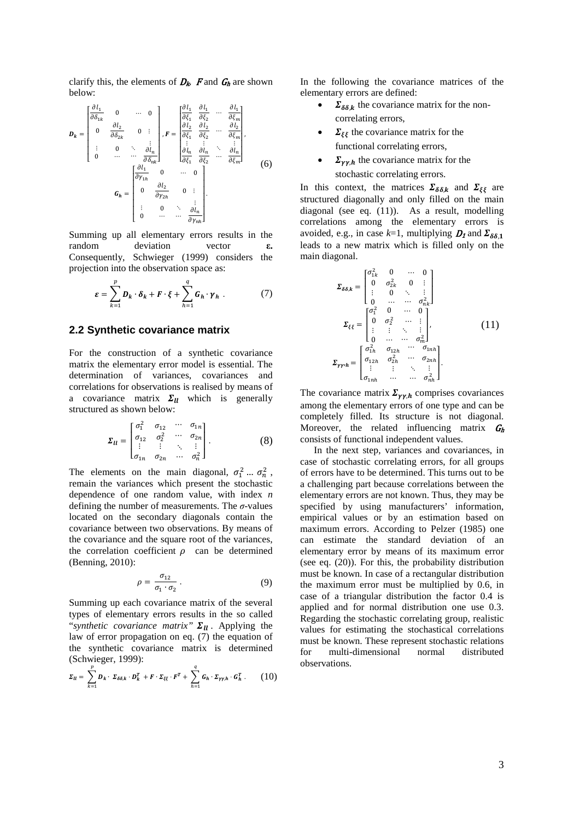clarify this, the elements of  $D_k$ , F and  $G_h$  are shown below:

$$
\mathbf{D}_{k} = \begin{bmatrix} \frac{\partial l_{1}}{\partial \delta_{1k}} & 0 & \cdots & 0 \\ 0 & \frac{\partial l_{2}}{\partial \delta_{2k}} & 0 & \vdots \\ 0 & \frac{\partial l_{n}}{\partial \delta_{2k}} & 0 & \vdots \\ \vdots & 0 & \ddots & \frac{\partial l_{n}}{\partial \delta_{nk}} \end{bmatrix}, F = \begin{bmatrix} \frac{\partial l_{1}}{\partial \xi_{1}} & \frac{\partial l_{1}}{\partial \xi_{2}} & \cdots & \frac{\partial l_{1}}{\partial \xi_{m}} \\ \frac{\partial l_{2}}{\partial \xi_{1}} & \frac{\partial l_{2}}{\partial \xi_{2}} & \cdots & \frac{\partial l_{n}}{\partial \xi_{m}} \end{bmatrix},
$$
\n
$$
\mathbf{G}_{h} = \begin{bmatrix} \frac{\partial l_{1}}{\partial y_{1h}} & 0 & \cdots & 0 \\ 0 & \frac{\partial l_{2}}{\partial y_{2h}} & 0 & \vdots \\ \vdots & 0 & \ddots & \frac{\partial l_{n}}{\partial y_{nh}} \end{bmatrix}.
$$
\n
$$
(6)
$$

Summing up all elementary errors results in the random deviation vector **ε.** Consequently, Schwieger (1999) considers the projection into the observation space as:

$$
\varepsilon = \sum_{k=1}^{p} D_k \cdot \delta_k + F \cdot \xi + \sum_{h=1}^{q} G_h \cdot \gamma_h . \tag{7}
$$

#### **2.2 Synthetic covariance matrix**

For the construction of a synthetic covariance matrix the elementary error model is essential. The determination of variances, covariances and correlations for observations is realised by means of a covariance matrix  $\Sigma_{II}$  which is generally structured as shown below:

$$
\Sigma_{ll} = \begin{bmatrix} \sigma_1^2 & \sigma_{12} & \cdots & \sigma_{1n} \\ \sigma_{12} & \sigma_2^2 & \cdots & \sigma_{2n} \\ \vdots & \vdots & \ddots & \vdots \\ \sigma_{1n} & \sigma_{2n} & \cdots & \sigma_n^2 \end{bmatrix} . \tag{8}
$$

The elements on the main diagonal,  $\sigma_1^2 ... \sigma_n^2$ , remain the variances which present the stochastic dependence of one random value, with index *n* defining the number of measurements. The *σ*-values located on the secondary diagonals contain the covariance between two observations. By means of the covariance and the square root of the variances, the correlation coefficient  $\rho$  can be determined (Benning, 2010):

$$
\rho = \frac{\sigma_{12}}{\sigma_1 \cdot \sigma_2} \tag{9}
$$

Summing up each covariance matrix of the several types of elementary errors results in the so called "*synthetic covariance matrix*"  $\Sigma_{ll}$ . Applying the law of error propagation on eq. (7) the equation of the synthetic covariance matrix is determined (Schwieger, 1999):

$$
\Sigma_{ll} = \sum_{k=1}^p D_k \cdot \Sigma_{\delta\delta,k} \cdot D_k^T + F \cdot \Sigma_{\xi\xi} \cdot F^T + \sum_{h=1}^q G_h \cdot \Sigma_{\gamma\gamma,h} \cdot G_h^T. \tag{10}
$$

In the following the covariance matrices of the elementary errors are defined:

- $\sum_{\delta \delta, k}$  the covariance matrix for the noncorrelating errors,
- $\sum_{\xi\xi}$  the covariance matrix for the functional correlating errors,
- $\sum_{\mathbf{v} \cdot \mathbf{h}}$  the covariance matrix for the stochastic correlating errors.

In this context, the matrices  $\Sigma_{\delta\delta,k}$  and  $\Sigma_{\xi\xi}$  are structured diagonally and only filled on the main diagonal (see eq. (11)). As a result, modelling correlations among the elementary errors is avoided, e.g., in case  $k=1$ , multiplying  $D_1$  and  $\Sigma_{\delta\delta}$  1 leads to a new matrix which is filled only on the main diagonal.

$$
\Sigma_{\delta\delta,k} = \begin{bmatrix}\n\sigma_{1k}^2 & 0 & \cdots & 0 \\
0 & \sigma_{2k}^2 & 0 & \vdots \\
\vdots & 0 & \ddots & \vdots \\
0 & \cdots & \cdots & \sigma_{nk}^2\n\end{bmatrix}
$$
\n
$$
\Sigma_{\xi\xi} = \begin{bmatrix}\n\sigma_1^2 & 0 & \cdots & 0 \\
0 & \sigma_2^2 & \cdots & \vdots \\
\vdots & \vdots & \ddots & \vdots \\
0 & \cdots & \cdots & \sigma_m^2\n\end{bmatrix},
$$
\n
$$
\Sigma_{\gamma\gamma h} = \begin{bmatrix}\n\sigma_{1h}^2 & \sigma_{12h} & \cdots & \sigma_{1nh} \\
\sigma_{12h} & \sigma_{2h}^2 & \cdots & \sigma_{2nh} \\
\vdots & \vdots & \ddots & \vdots \\
\sigma_{1nh} & \cdots & \cdots & \sigma_{nh}^2\n\end{bmatrix}.
$$
\n(11)

The covariance matrix  $\Sigma_{\gamma\gamma,h}$  comprises covariances among the elementary errors of one type and can be completely filled. Its structure is not diagonal. Moreover, the related influencing matrix  $G_h$ consists of functional independent values.

In the next step, variances and covariances, in case of stochastic correlating errors, for all groups of errors have to be determined. This turns out to be a challenging part because correlations between the elementary errors are not known. Thus, they may be specified by using manufacturers' information, empirical values or by an estimation based on maximum errors. According to Pelzer (1985) one can estimate the standard deviation of an elementary error by means of its maximum error (see eq. (20)). For this, the probability distribution must be known. In case of a rectangular distribution the maximum error must be multiplied by 0.6, in case of a triangular distribution the factor 0.4 is applied and for normal distribution one use 0.3. Regarding the stochastic correlating group, realistic values for estimating the stochastical correlations must be known. These represent stochastic relations for multi-dimensional normal distributed observations.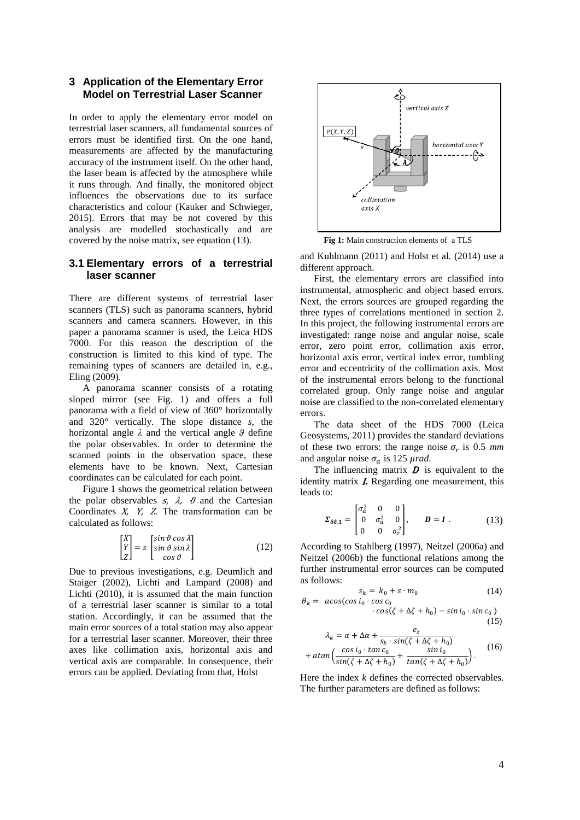## **3 Application of the Elementary Error Model on Terrestrial Laser Scanner**

In order to apply the elementary error model on terrestrial laser scanners, all fundamental sources of errors must be identified first. On the one hand, measurements are affected by the manufacturing accuracy of the instrument itself. On the other hand, the laser beam is affected by the atmosphere while it runs through. And finally, the monitored object influences the observations due to its surface characteristics and colour (Kauker and Schwieger, 2015). Errors that may be not covered by this analysis are modelled stochastically and are covered by the noise matrix, see equation (13).

# **3.1 Elementary errors of a terrestrial laser scanner**

There are different systems of terrestrial laser scanners (TLS) such as panorama scanners, hybrid scanners and camera scanners. However, in this paper a panorama scanner is used, the Leica HDS 7000. For this reason the description of the construction is limited to this kind of type. The remaining types of scanners are detailed in, e.g., Eling (2009).

A panorama scanner consists of a rotating sloped mirror (see Fig. 1) and offers a full panorama with a field of view of 360° horizontally and 320° vertically. The slope distance *s*, the horizontal angle *λ* and the vertical angle *ϑ* define the polar observables. In order to determine the scanned points in the observation space, these elements have to be known. Next, Cartesian coordinates can be calculated for each point.

Figure 1 shows the geometrical relation between the polar observables  $s$ ,  $\lambda$ ,  $\theta$  and the Cartesian Coordinates X, Y, Z*.* The transformation can be calculated as follows:

$$
\begin{bmatrix} X \\ Y \\ Z \end{bmatrix} = s \begin{bmatrix} \sin \vartheta \cos \lambda \\ \sin \vartheta \sin \lambda \\ \cos \vartheta \end{bmatrix}
$$
 (12)

Due to previous investigations, e.g. Deumlich and Staiger (2002), Lichti and Lampard (2008) and Lichti (2010), it is assumed that the main function of a terrestrial laser scanner is similar to a total station. Accordingly, it can be assumed that the main error sources of a total station may also appear for a terrestrial laser scanner. Moreover, their three axes like collimation axis, horizontal axis and vertical axis are comparable. In consequence, their errors can be applied. Deviating from that, Holst



**Fig 1:** Main construction elements of a TLS

and Kuhlmann (2011) and Holst et al. (2014) use a different approach.

First, the elementary errors are classified into instrumental, atmospheric and object based errors. Next, the errors sources are grouped regarding the three types of correlations mentioned in section 2. In this project, the following instrumental errors are investigated: range noise and angular noise, scale error, zero point error, collimation axis error, horizontal axis error, vertical index error, tumbling error and eccentricity of the collimation axis. Most of the instrumental errors belong to the functional correlated group. Only range noise and angular noise are classified to the non-correlated elementary errors.

The data sheet of the HDS 7000 (Leica Geosystems, 2011) provides the standard deviations of these two errors: the range noise  $\sigma_r$  is 0.5 *mm* and angular noise  $\sigma_a$  is 125  $\mu$ *rad*.

The influencing matrix  $\boldsymbol{D}$  is equivalent to the identity matrix <sup>I</sup>**.** Regarding one measurement, this leads to:

$$
\Sigma_{\delta\delta,1} = \begin{bmatrix} \sigma_a^2 & 0 & 0 \\ 0 & \sigma_a^2 & 0 \\ 0 & 0 & \sigma_r^2 \end{bmatrix}, \qquad D = I .
$$
 (13)

According to Stahlberg (1997), Neitzel (2006a) and Neitzel (2006b) the functional relations among the further instrumental error sources can be computed as follows:

$$
s_k = k_0 + s \cdot m_0 \tag{14}
$$

$$
\theta_k = \arccos(\cos i_0 \cdot \cos c_0
$$
  
\n
$$
\cdot \cos(\zeta + \Delta \zeta + h_0) - \sin i_0 \cdot \sin c_0)
$$
\n(15)

$$
\lambda_k = \alpha + \Delta\alpha + \frac{e_z}{s_k \cdot \sin(\zeta + \Delta\zeta + h_0)}
$$
  
+ 
$$
\alpha \tan\left(\frac{\cos i_0 \cdot \tan c_0}{\sin(\zeta + \Delta\zeta + h_0)} + \frac{\sin i_0}{\tan(\zeta + \Delta\zeta + h_0)}\right).
$$
 (16)

Here the index *k* defines the corrected observables. The further parameters are defined as follows: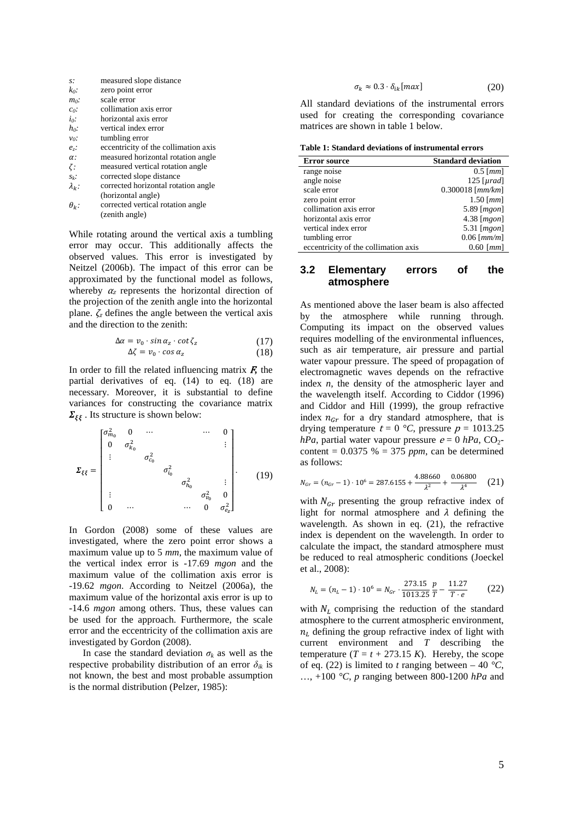| $S$ :                | measured slope distance              |
|----------------------|--------------------------------------|
| $k_0$ :              | zero point error                     |
| $m_0$ :              | scale error                          |
| Co                   | collimation axis error               |
| io:                  | horizontal axis error                |
| $h_0$ :              | vertical index error                 |
| $v_0$ :              | tumbling error                       |
| $e_{\overline{z}}$ : | eccentricity of the collimation axis |
| $\alpha$ :           | measured horizontal rotation angle   |
| 7:                   | measured vertical rotation angle     |
| $S_k$ :              | corrected slope distance             |
| $\lambda_k$ :        | corrected horizontal rotation angle  |
|                      | (horizontal angle)                   |
| $\theta_k$ :         | corrected vertical rotation angle    |
|                      | (zenith angle)                       |

While rotating around the vertical axis a tumbling error may occur. This additionally affects the observed values. This error is investigated by Neitzel (2006b). The impact of this error can be approximated by the functional model as follows, whereby  $\alpha_z$  represents the horizontal direction of the projection of the zenith angle into the horizontal plane.  $\zeta_z$  defines the angle between the vertical axis and the direction to the zenith:

$$
\Delta \alpha = v_0 \cdot \sin \alpha_z \cdot \cot \zeta_z \tag{17}
$$
  

$$
\Delta \zeta = v_0 \cdot \cos \alpha_z \tag{18}
$$

In order to fill the related influencing matrix  $\vec{F}$ , the partial derivatives of eq. (14) to eq. (18) are necessary. Moreover, it is substantial to define variances for constructing the covariance matrix  $\Sigma_{\xi\xi}$ . Its structure is shown below:

$$
\Sigma_{\xi\xi} = \begin{bmatrix} \sigma_{m_0}^2 & 0 & \cdots & & \cdots & 0 \\ 0 & \sigma_{k_0}^2 & & & & \vdots \\ \vdots & & \sigma_{c_0}^2 & & & \\ & & & \sigma_{k_0}^2 & & \\ & & & & & \sigma_{k_0}^2 & 0 \\ \vdots & & & & & & \sigma_{v_0}^2 & 0 \\ 0 & \cdots & & & & & 0 & \sigma_{e_z}^2 \end{bmatrix} .
$$
 (19)

In Gordon (2008) some of these values are investigated, where the zero point error shows a maximum value up to 5 *mm*, the maximum value of the vertical index error is -17.69 *mgon* and the maximum value of the collimation axis error is -19.62 *mgon*. According to Neitzel (2006a), the maximum value of the horizontal axis error is up to -14.6 *mgon* among others. Thus, these values can be used for the approach. Furthermore, the scale error and the eccentricity of the collimation axis are investigated by Gordon (2008).

In case the standard deviation  $\sigma_k$  as well as the respective probability distribution of an error  $\delta_{ik}$  is not known, the best and most probable assumption is the normal distribution (Pelzer, 1985):

$$
\sigma_k \approx 0.3 \cdot \delta_{ik}[max] \tag{20}
$$

All standard deviations of the instrumental errors used for creating the corresponding covariance matrices are shown in table 1 below.

**Table 1: Standard deviations of instrumental errors**

| <b>Error source</b>                  | <b>Standard deviation</b> |
|--------------------------------------|---------------------------|
| range noise                          | $0.5$ [ <i>mm</i> ]       |
| angle noise                          | $125$ [ $\mu$ rad]        |
| scale error                          | $0.300018$ [ $mm/km$ ]    |
| zero point error                     | $1.50$ [ $mm$ ]           |
| collimation axis error               | $5.89$ [ $mgon$ ]         |
| horizontal axis error                | $4.38$ [ $mgon$ ]         |
| vertical index error                 | $5.31$ [ $mgon$ ]         |
| tumbling error                       | $0.06$ [ $mm/m$ ]         |
| eccentricity of the collimation axis | $0.60$ [ $mm$ ]           |

#### **3.2 Elementary errors of the atmosphere**

As mentioned above the laser beam is also affected by the atmosphere while running through. Computing its impact on the observed values requires modelling of the environmental influences, such as air temperature, air pressure and partial water vapour pressure. The speed of propagation of electromagnetic waves depends on the refractive index *n*, the density of the atmospheric layer and the wavelength itself. According to Ciddor (1996) and Ciddor and Hill (1999), the group refractive index  $n_{Gr}$  for a dry standard atmosphere, that is drying temperature  $t = 0$  °C, pressure  $p = 1013.25$ *hPa*, partial water vapour pressure  $e = 0$  *hPa*,  $CO_2$ content =  $0.0375$  % = 375 *ppm*, can be determined as follows:

$$
N_{\text{Gr}} = (n_{\text{Gr}} - 1) \cdot 10^6 = 287.6155 + \frac{4.88660}{\lambda^2} + \frac{0.06800}{\lambda^4} \quad (21)
$$

with  $N_{Gr}$  presenting the group refractive index of light for normal atmosphere and  $\lambda$  defining the wavelength. As shown in eq. (21), the refractive index is dependent on the wavelength. In order to calculate the impact, the standard atmosphere must be reduced to real atmospheric conditions (Joeckel et al., 2008):

$$
N_L = (n_L - 1) \cdot 10^6 = N_{cr} \cdot \frac{273.15}{1013.25} \frac{p}{T} - \frac{11.27}{T \cdot e} \tag{22}
$$

with  $N<sub>L</sub>$  comprising the reduction of the standard atmosphere to the current atmospheric environment,  $n_l$  defining the group refractive index of light with current environment and *T* describing the temperature  $(T = t + 273.15 K)$ . Hereby, the scope of eq. (22) is limited to *t* ranging between – 40  $\degree$ C, …, +100 *°C*, *p* ranging between 800-1200 *hPa* and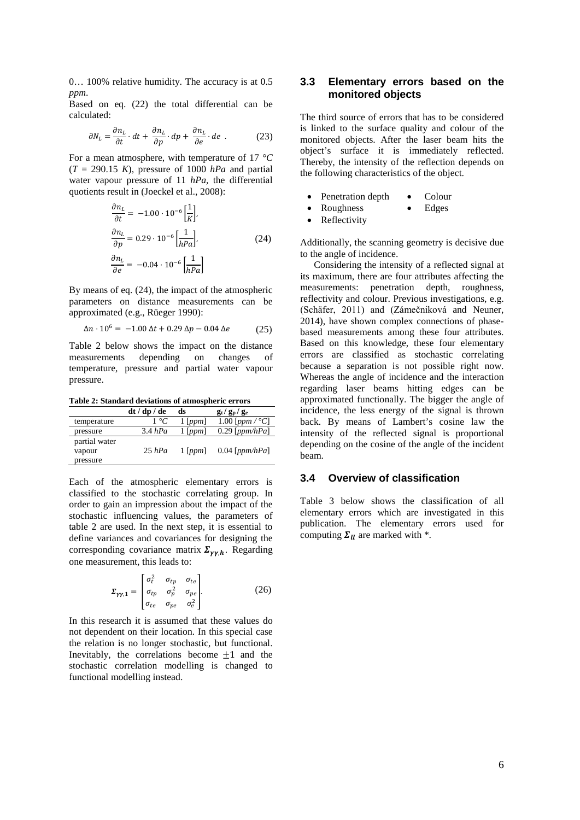0… 100% relative humidity. The accuracy is at 0.5 *ppm*.

Based on eq. (22) the total differential can be calculated:

$$
\partial N_L = \frac{\partial n_L}{\partial t} \cdot dt + \frac{\partial n_L}{\partial p} \cdot dp + \frac{\partial n_L}{\partial e} \cdot de \tag{23}
$$

For a mean atmosphere, with temperature of 17 *°C*  $(T = 290.15 K)$ , pressure of 1000 *hPa* and partial water vapour pressure of 11 *hPa,* the differential quotients result in (Joeckel et al., 2008):

$$
\frac{\partial n_L}{\partial t} = -1.00 \cdot 10^{-6} \left[ \frac{1}{K} \right],
$$
  
\n
$$
\frac{\partial n_L}{\partial p} = 0.29 \cdot 10^{-6} \left[ \frac{1}{hPa} \right],
$$
  
\n
$$
\frac{\partial n_L}{\partial e} = -0.04 \cdot 10^{-6} \left[ \frac{1}{hPa} \right]
$$
\n(24)

By means of eq. (24), the impact of the atmospheric parameters on distance measurements can be approximated (e.g., Rüeger 1990):

$$
\Delta n \cdot 10^6 = -1.00 \,\Delta t + 0.29 \,\Delta p - 0.04 \,\Delta e \tag{25}
$$

Table 2 below shows the impact on the distance measurements depending on changes of temperature, pressure and partial water vapour pressure.

**Table 2: Standard deviations of atmospheric errors**

|                         | dt / dp / de       | ds            | $g_t/g_p/g_e$             |
|-------------------------|--------------------|---------------|---------------------------|
| temperature             | $1 \, {}^{\circ}C$ | $1$ [ $ppm$ ] | 1.00 [ppm / $^{\circ}C$ ] |
| pressure                | 3.4 hPa            | $1$ [ppm]     | $0.29$ [ppm/hPa]          |
| partial water<br>vapour | $25$ hPa           | $1$ [ppm]     | $0.04$ [ppm/hPa]          |
| pressure                |                    |               |                           |

Each of the atmospheric elementary errors is classified to the stochastic correlating group. In order to gain an impression about the impact of the stochastic influencing values, the parameters of table 2 are used. In the next step, it is essential to define variances and covariances for designing the corresponding covariance matrix  $\Sigma_{\nu \nu, h}$ . Regarding one measurement, this leads to:

$$
\Sigma_{\gamma\gamma,1} = \begin{bmatrix} \sigma_t^2 & \sigma_{tp} & \sigma_{te} \\ \sigma_{tp} & \sigma_p^2 & \sigma_{pe} \\ \sigma_{te} & \sigma_{pe} & \sigma_e^2 \end{bmatrix} . \tag{26}
$$

In this research it is assumed that these values do not dependent on their location. In this special case the relation is no longer stochastic, but functional. Inevitably, the correlations become  $\pm 1$  and the stochastic correlation modelling is changed to functional modelling instead.

# **3.3 Elementary errors based on the monitored objects**

The third source of errors that has to be considered is linked to the surface quality and colour of the monitored objects. After the laser beam hits the object's surface it is immediately reflected. Thereby, the intensity of the reflection depends on the following characteristics of the object.

- Penetration depth Colour
- Roughness Edges
- **Reflectivity**

Additionally, the scanning geometry is decisive due to the angle of incidence.

Considering the intensity of a reflected signal at its maximum, there are four attributes affecting the measurements: penetration depth, roughness, reflectivity and colour. Previous investigations, e.g. (Schäfer, 2011) and (Zámečniková and Neuner, 2014), have shown complex connections of phasebased measurements among these four attributes. Based on this knowledge, these four elementary errors are classified as stochastic correlating because a separation is not possible right now. Whereas the angle of incidence and the interaction regarding laser beams hitting edges can be approximated functionally. The bigger the angle of incidence, the less energy of the signal is thrown back. By means of Lambert's cosine law the intensity of the reflected signal is proportional depending on the cosine of the angle of the incident beam.

## **3.4 Overview of classification**

Table 3 below shows the classification of all elementary errors which are investigated in this publication. The elementary errors used for computing  $\Sigma_{II}$  are marked with  $*$ .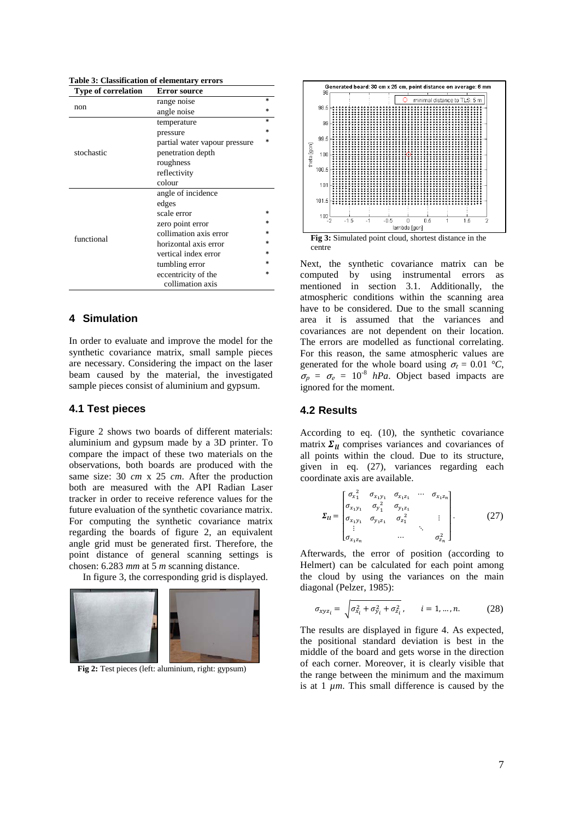**Table 3: Classification of elementary errors**

| <b>Type of correlation</b> | <b>Error source</b>           |        |
|----------------------------|-------------------------------|--------|
|                            | range noise                   |        |
| non                        | angle noise                   | $\ast$ |
|                            | temperature                   |        |
|                            | pressure                      |        |
|                            | partial water vapour pressure |        |
| stochastic                 | penetration depth             |        |
|                            | roughness                     |        |
|                            | reflectivity                  |        |
|                            | colour                        |        |
|                            | angle of incidence            |        |
|                            | edges                         |        |
|                            | scale error                   |        |
|                            | zero point error              |        |
| functional                 | collimation axis error        |        |
|                            | horizontal axis error         |        |
|                            | vertical index error          |        |
|                            | tumbling error                |        |
|                            | eccentricity of the           |        |
|                            | collimation axis              |        |

# **4 Simulation**

In order to evaluate and improve the model for the synthetic covariance matrix, small sample pieces are necessary. Considering the impact on the laser beam caused by the material, the investigated sample pieces consist of aluminium and gypsum.

## **4.1 Test pieces**

Figure 2 shows two boards of different materials: aluminium and gypsum made by a 3D printer. To compare the impact of these two materials on the observations, both boards are produced with the same size: 30 *cm* x 25 *cm*. After the production both are measured with the API Radian Laser tracker in order to receive reference values for the future evaluation of the synthetic covariance matrix. For computing the synthetic covariance matrix regarding the boards of figure 2, an equivalent angle grid must be generated first. Therefore, the point distance of general scanning settings is chosen: 6.283 *mm* at 5 *m* scanning distance.

In figure 3, the corresponding grid is displayed.



**Fig 2:** Test pieces (left: aluminium, right: gypsum)



Next, the synthetic covariance matrix can be computed by using instrumental errors as mentioned in section 3.1. Additionally, the atmospheric conditions within the scanning area have to be considered. Due to the small scanning area it is assumed that the variances and covariances are not dependent on their location. The errors are modelled as functional correlating. For this reason, the same atmospheric values are generated for the whole board using  $\sigma_t = 0.01$  °C,  $\sigma_p = \sigma_e = 10^{-8}$  *hPa*. Object based impacts are ignored for the moment.

#### **4.2 Results**

According to eq. (10), the synthetic covariance matrix  $\Sigma_{II}$  comprises variances and covariances of all points within the cloud. Due to its structure, given in eq. (27), variances regarding each coordinate axis are available.

$$
\Sigma_{ll} = \begin{bmatrix} \sigma_{x_1}^2 & \sigma_{x_1y_1} & \sigma_{x_1z_1} & \cdots & \sigma_{x_1z_n} \\ \sigma_{x_1y_1} & \sigma_{y_1}^2 & \sigma_{y_1z_1} \\ \sigma_{x_1y_1} & \sigma_{y_1z_1} & \sigma_{z_1}^2 & \vdots \\ \vdots & \ddots & \vdots \\ \sigma_{x_1z_n} & \cdots & \sigma_{z_n}^2 \end{bmatrix} .
$$
 (27)

Afterwards, the error of position (according to Helmert) can be calculated for each point among the cloud by using the variances on the main diagonal (Pelzer, 1985):

$$
\sigma_{xyz_i} = \sqrt{\sigma_{x_i}^2 + \sigma_{y_i}^2 + \sigma_{z_i}^2}, \qquad i = 1, ..., n. \tag{28}
$$

The results are displayed in figure 4. As expected, the positional standard deviation is best in the middle of the board and gets worse in the direction of each corner. Moreover, it is clearly visible that the range between the minimum and the maximum is at  $1 \mu m$ . This small difference is caused by the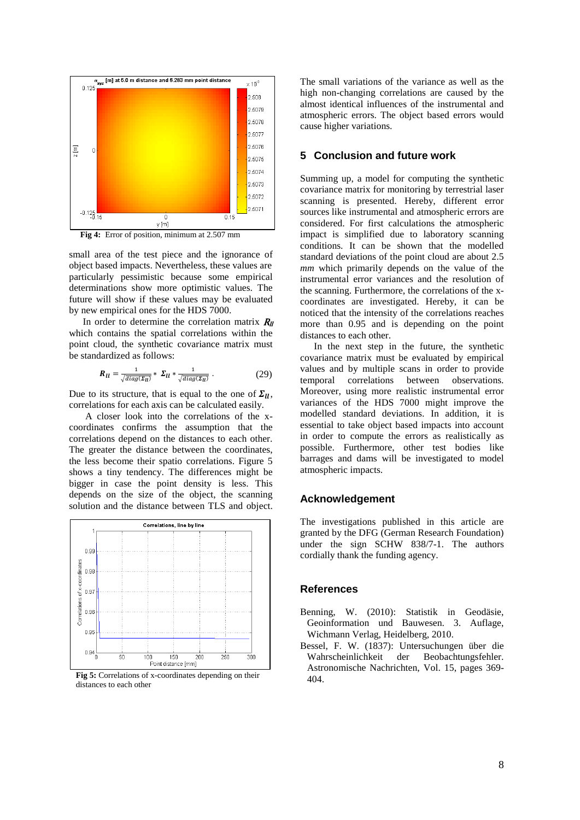

**Fig 4:** Error of position, minimum at 2.507 mm

small area of the test piece and the ignorance of object based impacts. Nevertheless, these values are particularly pessimistic because some empirical determinations show more optimistic values. The future will show if these values may be evaluated by new empirical ones for the HDS 7000.

In order to determine the correlation matrix  $R_{\ell\ell}$ which contains the spatial correlations within the point cloud, the synthetic covariance matrix must be [standardized](http://www.linguee.de/englisch-deutsch/uebersetzung/standardized.html) as follows:

$$
R_{ll} = \frac{1}{\sqrt{diag(\Sigma_{ll})}} * \Sigma_{ll} * \frac{1}{\sqrt{diag(\Sigma_{ll})}}.
$$
 (29)

Due to its structure, that is equal to the one of  $\Sigma_{II}$ , correlations for each axis can be calculated easily.

A closer look into the correlations of the xcoordinates confirms the assumption that the correlations depend on the distances to each other. The greater the distance between the coordinates, the less become their spatio correlations. Figure 5 shows a tiny tendency. The differences might be bigger in case the point density is less. This depends on the size of the object, the scanning solution and the distance between TLS and object.



**Fig 5:** Correlations of x-coordinates depending on their distances to each other

The small variations of the variance as well as the high non-changing correlations are caused by the almost identical influences of the instrumental and atmospheric errors. The object based errors would cause higher variations.

## **5 Conclusion and future work**

Summing up, a model for computing the synthetic covariance matrix for monitoring by terrestrial laser scanning is presented. Hereby, different error sources like instrumental and atmospheric errors are considered. For first calculations the atmospheric impact is simplified due to laboratory scanning conditions. It can be shown that the modelled standard deviations of the point cloud are about 2.5 *mm* which primarily depends on the value of the instrumental error variances and the resolution of the scanning. Furthermore, the correlations of the xcoordinates are investigated. Hereby, it can be noticed that the intensity of the correlations reaches more than 0.95 and is depending on the point distances to each other.

In the next step in the future, the synthetic covariance matrix must be evaluated by empirical values and by multiple scans in order to provide temporal correlations between observations. Moreover, using more realistic instrumental error variances of the HDS 7000 might improve the modelled standard deviations. In addition, it is essential to take object based impacts into account in order to compute the errors as realistically as possible. Furthermore, other test bodies like barrages and dams will be investigated to model atmospheric impacts.

## **Acknowledgement**

The investigations published in this article are granted by the DFG (German Research Foundation) under the sign SCHW 838/7-1. The authors cordially thank the funding agency.

#### **References**

- Benning, W. (2010): Statistik in Geodäsie, Geoinformation und Bauwesen. 3. Auflage, Wichmann Verlag, Heidelberg, 2010.
- Bessel, F. W. (1837): Untersuchungen über die Wahrscheinlichkeit der Beobachtungsfehler. Astronomische Nachrichten, Vol. 15, pages 369- 404.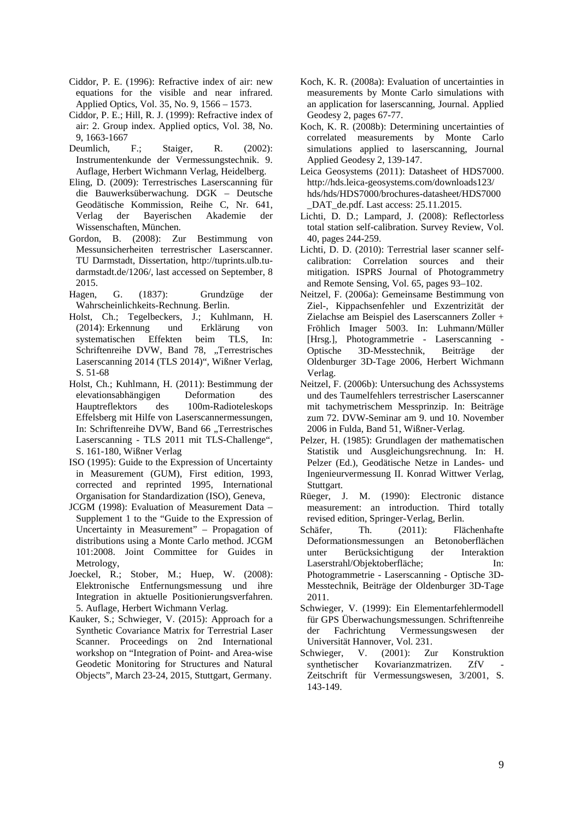- Ciddor, P. E. (1996): Refractive index of air: new equations for the visible and near infrared. Applied Optics, Vol. 35, No. 9, 1566 – 1573.
- Ciddor, P. E.; Hill, R. J. (1999): Refractive index of air: 2. Group index. Applied optics, Vol. 38, No. 9, 1663-1667
- Deumlich, F.; Staiger, R. (2002): Instrumentenkunde der Vermessungstechnik. 9. Auflage, Herbert Wichmann Verlag, Heidelberg.
- Eling, D. (2009): Terrestrisches Laserscanning für die Bauwerksüberwachung. DGK – Deutsche Geodätische Kommission, Reihe C, Nr. 641, Verlag der Bayerischen Akademie der Wissenschaften, München.
- Gordon, B. (2008): Zur Bestimmung von Messunsicherheiten terrestrischer Laserscanner. TU Darmstadt, Dissertation, [http://tuprints.ulb.tu](http://tuprints.ulb.tu-darmstadt.de/1206/)[darmstadt.de/1206/,](http://tuprints.ulb.tu-darmstadt.de/1206/) last accessed on September, 8 2015.
- Hagen, G. (1837): Grundzüge der Wahrscheinlichkeits-Rechnung. Berlin.
- Holst, Ch.; Tegelbeckers, J.; Kuhlmann, H. (2014): Erkennung und Erklärung von systematischen Effekten beim TLS, In: Schriftenreihe DVW, Band 78, "Terrestrisches Laserscanning 2014 (TLS 2014)", Wißner Verlag, S. 51-68
- Holst, Ch.; Kuhlmann, H. (2011): Bestimmung der elevationsabhängigen Deformation des Hauptreflektors des 100m-Radioteleskops Effelsberg mit Hilfe von Laserscannermessungen, In: Schriftenreihe DVW, Band 66 "Terrestrisches Laserscanning - TLS 2011 mit TLS-Challenge", S. 161-180, Wißner Verlag
- ISO (1995): Guide to the Expression of Uncertainty in Measurement (GUM), First edition, 1993, corrected and reprinted 1995, International Organisation for Standardization (ISO), Geneva,
- JCGM (1998): Evaluation of Measurement Data Supplement 1 to the "Guide to the Expression of Uncertainty in Measurement" – Propagation of distributions using a Monte Carlo method. JCGM 101:2008. Joint Committee for Guides in Metrology,
- Joeckel, R.; Stober, M.; Huep, W. (2008): Elektronische Entfernungsmessung und ihre Integration in aktuelle Positionierungsverfahren. 5. Auflage, Herbert Wichmann Verlag.
- Kauker, S.; Schwieger, V. (2015): Approach for a Synthetic Covariance Matrix for Terrestrial Laser Scanner. Proceedings on 2nd International workshop on "Integration of Point- and Area-wise Geodetic Monitoring for Structures and Natural Objects", March 23-24, 2015, Stuttgart, Germany.
- Koch, K. R. (2008a): Evaluation of uncertainties in measurements by Monte Carlo simulations with an application for laserscanning, Journal. Applied Geodesy 2, pages 67-77.
- Koch, K. R. (2008b): Determining uncertainties of correlated measurements by Monte Carlo simulations applied to laserscanning, Journal Applied Geodesy 2, 139-147.
- Leica Geosystems (2011): Datasheet of HDS7000. http://hds.leica-geosystems.com/downloads123/ hds/hds/HDS7000/brochures-datasheet/HDS7000 DAT de.pdf. Last access: 25.11.2015.
- Lichti, D. D.; Lampard, J. (2008): Reflectorless total station self-calibration. Survey Review, Vol. 40, pages 244-259.
- Lichti, D. D. (2010): Terrestrial laser scanner selfcalibration: Correlation sources and their mitigation. ISPRS Journal of Photogrammetry and Remote Sensing, Vol. 65, pages 93–102.
- Neitzel, F. (2006a): Gemeinsame Bestimmung von Ziel-, Kippachsenfehler und Exzentrizität der Zielachse am Beispiel des Laserscanners Zoller + Fröhlich Imager 5003. In: Luhmann/Müller [Hrsg.], Photogrammetrie - Laserscanning Optische 3D-Messtechnik, Beiträge der Oldenburger 3D-Tage 2006, Herbert Wichmann Verlag.
- Neitzel, F. (2006b): Untersuchung des Achssystems und des Taumelfehlers terrestrischer Laserscanner mit tachymetrischem Messprinzip. In: Beiträge zum 72. DVW-Seminar am 9. und 10. November 2006 in Fulda, Band 51, Wißner-Verlag.
- Pelzer, H. (1985): Grundlagen der mathematischen Statistik und Ausgleichungsrechnung. In: H. Pelzer (Ed.), Geodätische Netze in Landes- und Ingenieurvermessung II. Konrad Wittwer Verlag, Stuttgart.
- Rüeger, J. M. (1990): Electronic distance measurement: an introduction. Third totally revised edition, Springer-Verlag, Berlin.
- Schäfer, Th. (2011): Flächenhafte Deformationsmessungen an Betonoberflächen unter Berücksichtigung der Interaktion Laserstrahl/Objektoberfläche; In: Photogrammetrie - Laserscanning - Optische 3D-Messtechnik, Beiträge der Oldenburger 3D-Tage 2011.
- Schwieger, V. (1999): Ein Elementarfehlermodell für GPS Überwachungsmessungen. Schriftenreihe der Fachrichtung Vermessungswesen der Universität Hannover, Vol. 231.
- Schwieger, V. (2001): Zur Konstruktion synthetischer Kovarianzmatrizen. ZfV Zeitschrift für Vermessungswesen, 3/2001, S. 143-149.